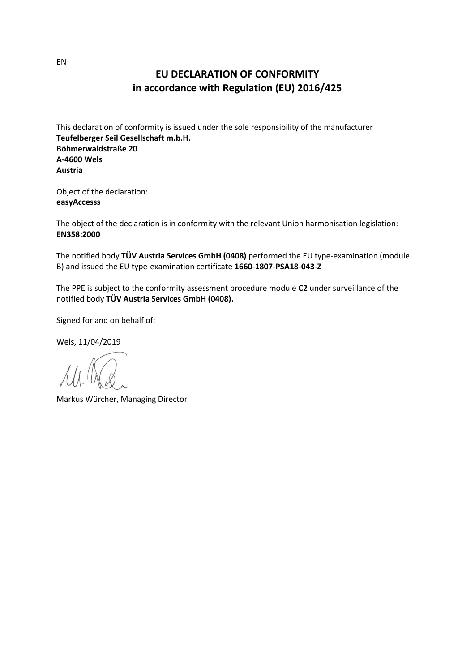## **EU DECLARATION OF CONFORMITY in accordance with Regulation (EU) 2016/425**

This declaration of conformity is issued under the sole responsibility of the manufacturer **Teufelberger Seil Gesellschaft m.b.H. Böhmerwaldstraße 20 A-4600 Wels Austria**

Object of the declaration: **easyAccesss**

The object of the declaration is in conformity with the relevant Union harmonisation legislation: **EN358:2000**

The notified body **TÜV Austria Services GmbH (0408)** performed the EU type-examination (module B) and issued the EU type-examination certificate **1660-1807-PSA18-043-Z**

The PPE is subject to the conformity assessment procedure module **C2** under surveillance of the notified body **TÜV Austria Services GmbH (0408).**

Signed for and on behalf of:

Wels, 11/04/2019

Markus Würcher, Managing Director

EN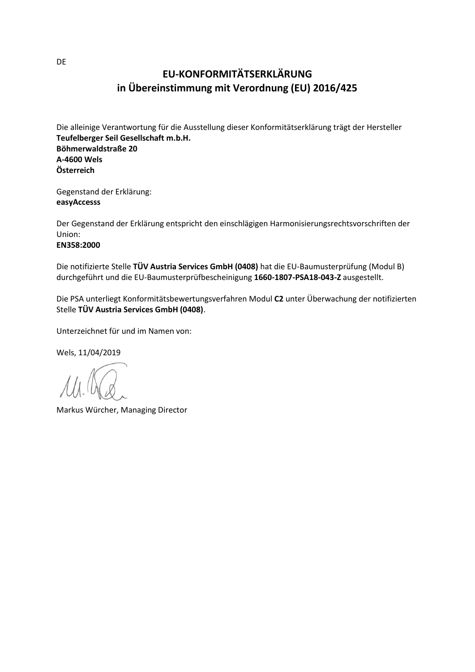# **EU-KONFORMITÄTSERKLÄRUNG in Übereinstimmung mit Verordnung (EU) 2016/425**

Die alleinige Verantwortung für die Ausstellung dieser Konformitätserklärung trägt der Hersteller **Teufelberger Seil Gesellschaft m.b.H. Böhmerwaldstraße 20 A-4600 Wels Österreich**

Gegenstand der Erklärung: **easyAccesss**

Der Gegenstand der Erklärung entspricht den einschlägigen Harmonisierungsrechtsvorschriften der Union:

#### **EN358:2000**

Die notifizierte Stelle **TÜV Austria Services GmbH (0408)** hat die EU-Baumusterprüfung (Modul B) durchgeführt und die EU-Baumusterprüfbescheinigung **1660-1807-PSA18-043-Z** ausgestellt.

Die PSA unterliegt Konformitätsbewertungsverfahren Modul **C2** unter Überwachung der notifizierten Stelle **TÜV Austria Services GmbH (0408)**.

Unterzeichnet für und im Namen von:

Wels, 11/04/2019

Markus Würcher, Managing Director

DE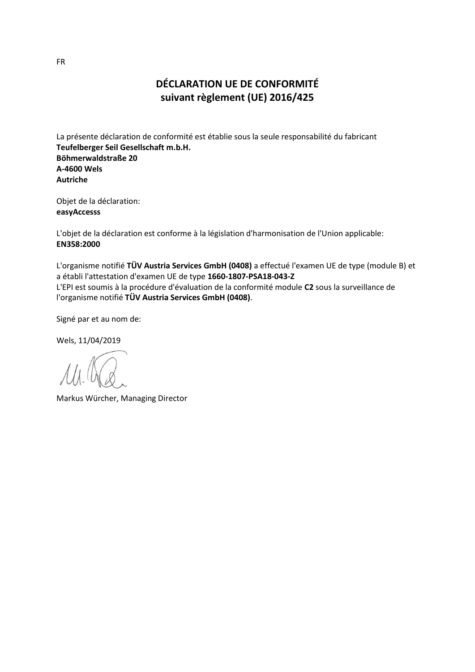# **DÉCLARATION UE DE CONFORMITÉ suivant règlement (UE) 2016/425**

La présente déclaration de conformité est établie sous la seule responsabilité du fabricant **Teufelberger Seil Gesellschaft m.b.H. Böhmerwaldstraße 20 A-4600 Wels Autriche**

Objet de la déclaration: **easyAccesss**

L'objet de la déclaration est conforme à la législation d'harmonisation de l'Union applicable: **EN358:2000**

L'organisme notifié **TÜV Austria Services GmbH (0408)** a effectué l'examen UE de type (module B) et a établi l'attestation d'examen UE de type **1660-1807-PSA18-043-Z** L'EPI est soumis à la procédure d'évaluation de la conformité module **C2** sous la surveillance de l'organisme notifié **TÜV Austria Services GmbH (0408)**.

Signé par et au nom de:

Wels, 11/04/2019

Markus Würcher, Managing Director

FR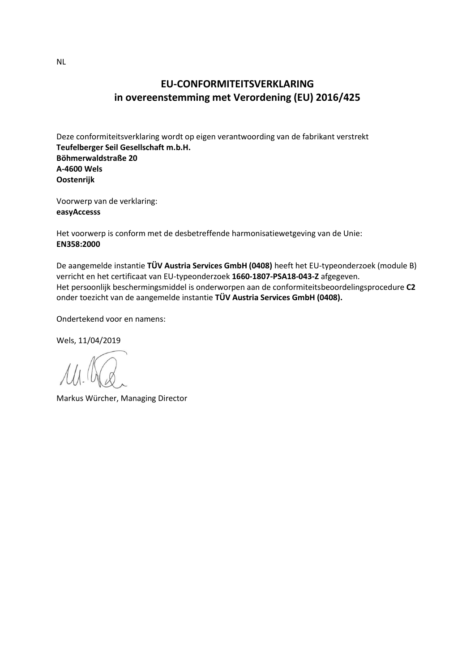## **EU-CONFORMITEITSVERKLARING in overeenstemming met Verordening (EU) 2016/425**

Deze conformiteitsverklaring wordt op eigen verantwoording van de fabrikant verstrekt **Teufelberger Seil Gesellschaft m.b.H. Böhmerwaldstraße 20 A-4600 Wels Oostenrijk**

Voorwerp van de verklaring: **easyAccesss**

Het voorwerp is conform met de desbetreffende harmonisatiewetgeving van de Unie: **EN358:2000**

De aangemelde instantie **TÜV Austria Services GmbH (0408)** heeft het EU-typeonderzoek (module B) verricht en het certificaat van EU-typeonderzoek **1660-1807-PSA18-043-Z** afgegeven. Het persoonlijk beschermingsmiddel is onderworpen aan de conformiteitsbeoordelingsprocedure **C2** onder toezicht van de aangemelde instantie **TÜV Austria Services GmbH (0408).**

Ondertekend voor en namens:

Wels, 11/04/2019

Markus Würcher, Managing Director

NL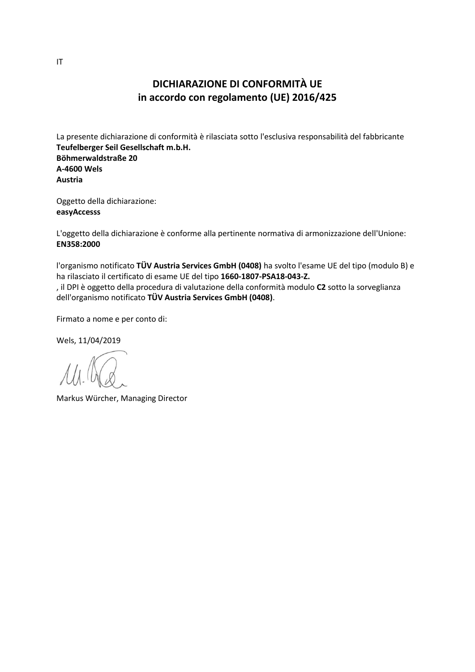#### **DICHIARAZIONE DI CONFORMITÀ UE in accordo con regolamento (UE) 2016/425**

La presente dichiarazione di conformità è rilasciata sotto l'esclusiva responsabilità del fabbricante **Teufelberger Seil Gesellschaft m.b.H. Böhmerwaldstraße 20 A-4600 Wels Austria**

Oggetto della dichiarazione: **easyAccesss**

L'oggetto della dichiarazione è conforme alla pertinente normativa di armonizzazione dell'Unione: **EN358:2000**

l'organismo notificato **TÜV Austria Services GmbH (0408)** ha svolto l'esame UE del tipo (modulo B) e ha rilasciato il certificato di esame UE del tipo **1660-1807-PSA18-043-Z.** , il DPI è oggetto della procedura di valutazione della conformità modulo **C2** sotto la sorveglianza dell'organismo notificato **TÜV Austria Services GmbH (0408)**.

Firmato a nome e per conto di:

Markus Würcher, Managing Director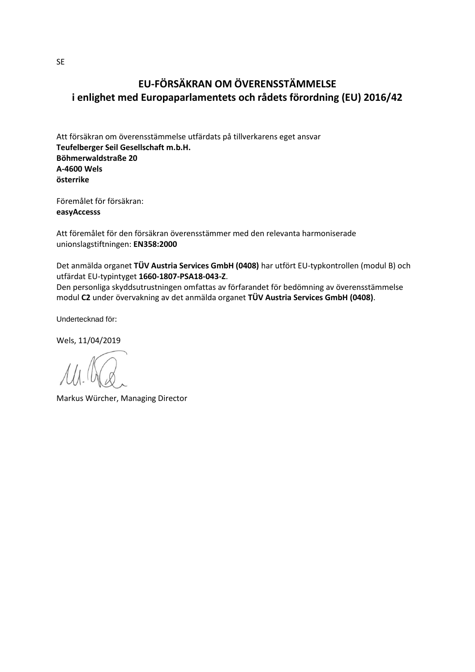# **EU-FÖRSÄKRAN OM ÖVERENSSTÄMMELSE i enlighet med Europaparlamentets och rådets förordning (EU) 2016/42**

Att försäkran om överensstämmelse utfärdats på tillverkarens eget ansvar **Teufelberger Seil Gesellschaft m.b.H. Böhmerwaldstraße 20 A-4600 Wels österrike**

Föremålet för försäkran: **easyAccesss**

Att föremålet för den försäkran överensstämmer med den relevanta harmoniserade unionslagstiftningen: **EN358:2000**

Det anmälda organet **TÜV Austria Services GmbH (0408)** har utfört EU-typkontrollen (modul B) och utfärdat EU-typintyget **1660-1807-PSA18-043-Z**.

Den personliga skyddsutrustningen omfattas av förfarandet för bedömning av överensstämmelse modul **C2** under övervakning av det anmälda organet **TÜV Austria Services GmbH (0408)**.

Undertecknad för:

Markus Würcher, Managing Director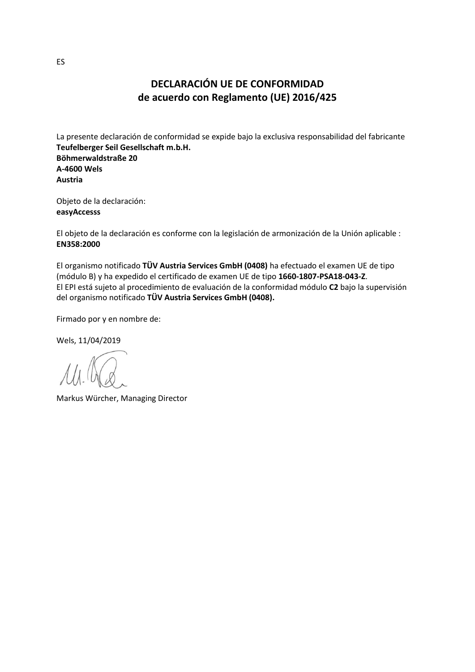## **DECLARACIÓN UE DE CONFORMIDAD de acuerdo con Reglamento (UE) 2016/425**

La presente declaración de conformidad se expide bajo la exclusiva responsabilidad del fabricante **Teufelberger Seil Gesellschaft m.b.H. Böhmerwaldstraße 20 A-4600 Wels Austria**

Objeto de la declaración: **easyAccesss**

El objeto de la declaración es conforme con la legislación de armonización de la Unión aplicable : **EN358:2000**

El organismo notificado **TÜV Austria Services GmbH (0408)** ha efectuado el examen UE de tipo (módulo B) y ha expedido el certificado de examen UE de tipo **1660-1807-PSA18-043-Z**. El EPI está sujeto al procedimiento de evaluación de la conformidad módulo **C2** bajo la supervisión del organismo notificado **TÜV Austria Services GmbH (0408).**

Firmado por y en nombre de:

Markus Würcher, Managing Director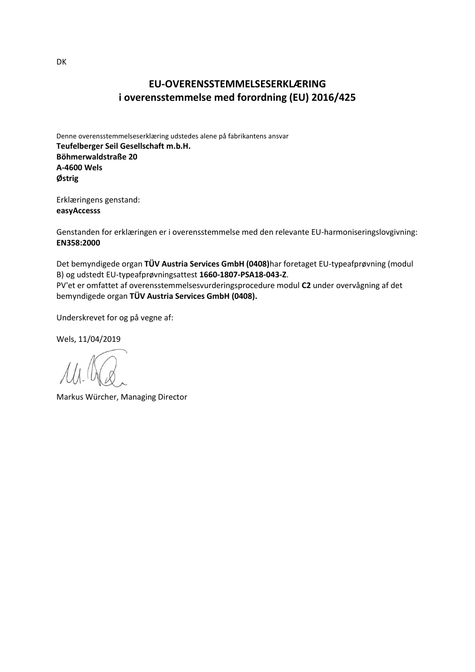#### **EU-OVERENSSTEMMELSESERKLÆRING i overensstemmelse med forordning (EU) 2016/425**

Denne overensstemmelseserklæring udstedes alene på fabrikantens ansvar **Teufelberger Seil Gesellschaft m.b.H. Böhmerwaldstraße 20 A-4600 Wels Østrig**

Erklæringens genstand: **easyAccesss**

Genstanden for erklæringen er i overensstemmelse med den relevante EU-harmoniseringslovgivning: **EN358:2000**

Det bemyndigede organ **TÜV Austria Services GmbH (0408)**har foretaget EU-typeafprøvning (modul B) og udstedt EU-typeafprøvningsattest **1660-1807-PSA18-043-Z**. PV'et er omfattet af overensstemmelsesvurderingsprocedure modul **C2** under overvågning af det bemyndigede organ **TÜV Austria Services GmbH (0408).**

Underskrevet for og på vegne af:

Wels, 11/04/2019

Markus Würcher, Managing Director

DK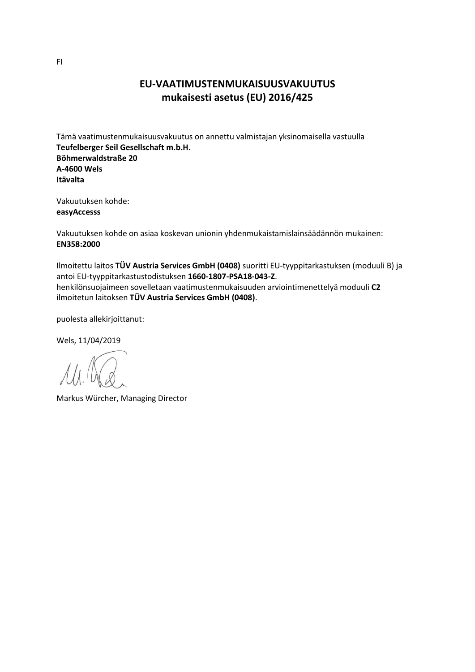#### **EU-VAATIMUSTENMUKAISUUSVAKUUTUS mukaisesti asetus (EU) 2016/425**

Tämä vaatimustenmukaisuusvakuutus on annettu valmistajan yksinomaisella vastuulla **Teufelberger Seil Gesellschaft m.b.H. Böhmerwaldstraße 20 A-4600 Wels Itävalta**

Vakuutuksen kohde: **easyAccesss**

Vakuutuksen kohde on asiaa koskevan unionin yhdenmukaistamislainsäädännön mukainen: **EN358:2000**

Ilmoitettu laitos **TÜV Austria Services GmbH (0408)** suoritti EU-tyyppitarkastuksen (moduuli B) ja antoi EU-tyyppitarkastustodistuksen **1660-1807-PSA18-043-Z**. henkilönsuojaimeen sovelletaan vaatimustenmukaisuuden arviointimenettelyä moduuli **C2** ilmoitetun laitoksen **TÜV Austria Services GmbH (0408)**.

puolesta allekirjoittanut:

Markus Würcher, Managing Director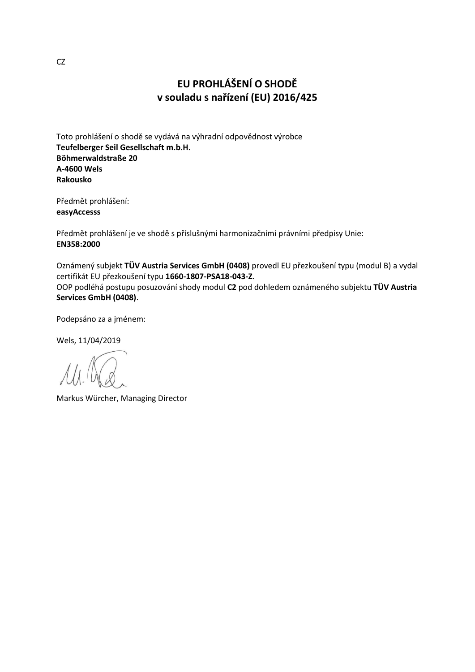# **EU PROHLÁŠENÍ O SHODĚ v souladu s nařízení (EU) 2016/425**

Toto prohlášení o shodě se vydává na výhradní odpovědnost výrobce **Teufelberger Seil Gesellschaft m.b.H. Böhmerwaldstraße 20 A-4600 Wels Rakousko**

Předmět prohlášení: **easyAccesss**

Předmět prohlášení je ve shodě s příslušnými harmonizačními právními předpisy Unie: **EN358:2000**

Oznámený subjekt **TÜV Austria Services GmbH (0408)** provedl EU přezkoušení typu (modul B) a vydal certifikát EU přezkoušení typu **1660-1807-PSA18-043-Z**. OOP podléhá postupu posuzování shody modul **C2** pod dohledem oznámeného subjektu **TÜV Austria Services GmbH (0408)**.

Podepsáno za a jménem:

Markus Würcher, Managing Director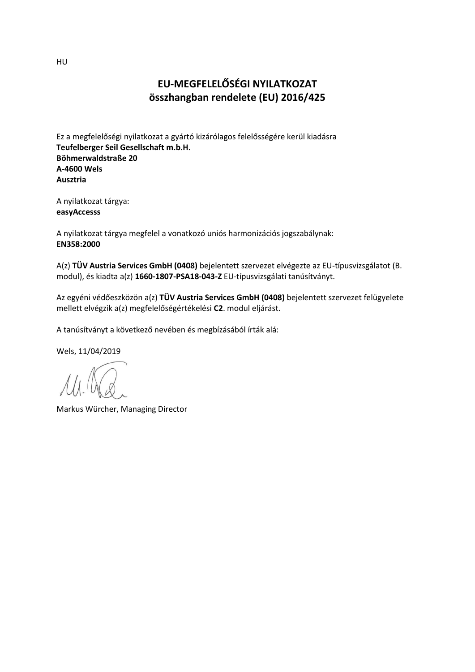# **EU-MEGFELELŐSÉGI NYILATKOZAT összhangban rendelete (EU) 2016/425**

Ez a megfelelőségi nyilatkozat a gyártó kizárólagos felelősségére kerül kiadásra **Teufelberger Seil Gesellschaft m.b.H. Böhmerwaldstraße 20 A-4600 Wels Ausztria**

A nyilatkozat tárgya: **easyAccesss**

A nyilatkozat tárgya megfelel a vonatkozó uniós harmonizációs jogszabálynak: **EN358:2000**

A(z) **TÜV Austria Services GmbH (0408)** bejelentett szervezet elvégezte az EU-típusvizsgálatot (B. modul), és kiadta a(z) **1660-1807-PSA18-043-Z** EU-típusvizsgálati tanúsítványt.

Az egyéni védőeszközön a(z) **TÜV Austria Services GmbH (0408)** bejelentett szervezet felügyelete mellett elvégzik a(z) megfelelőségértékelési **C2**. modul eljárást.

A tanúsítványt a következő nevében és megbízásából írták alá:

Wels, 11/04/2019

Markus Würcher, Managing Director

HU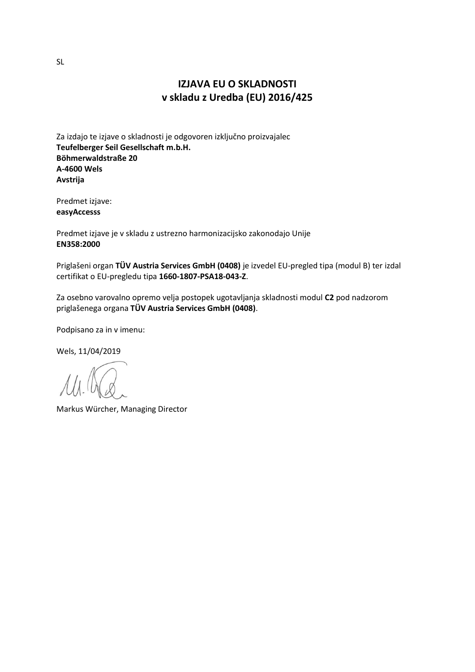#### **IZJAVA EU O SKLADNOSTI v skladu z Uredba (EU) 2016/425**

Za izdajo te izjave o skladnosti je odgovoren izključno proizvajalec **Teufelberger Seil Gesellschaft m.b.H. Böhmerwaldstraße 20 A-4600 Wels Avstrija**

Predmet izjave: **easyAccesss**

Predmet izjave je v skladu z ustrezno harmonizacijsko zakonodajo Unije **EN358:2000**

Priglašeni organ **TÜV Austria Services GmbH (0408)** je izvedel EU-pregled tipa (modul B) ter izdal certifikat o EU-pregledu tipa **1660-1807-PSA18-043-Z**.

Za osebno varovalno opremo velja postopek ugotavljanja skladnosti modul **C2** pod nadzorom priglašenega organa **TÜV Austria Services GmbH (0408)**.

Podpisano za in v imenu:

Wels, 11/04/2019

Markus Würcher, Managing Director

SL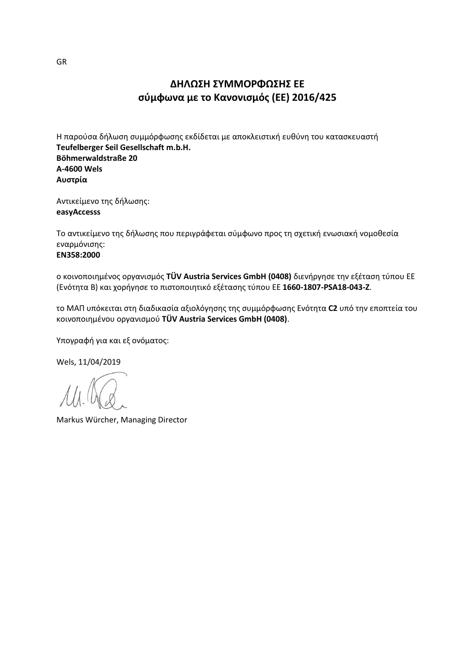# **ΔΗΛΩΣΗ ΣΥΜΜΟΡΦΩΣΗΣ ΕΕ σύμφωνα με το Κανονισμός (ΕΕ) 2016/425**

Η παρούσα δήλωση συμμόρφωσης εκδίδεται με αποκλειστική ευθύνη του κατασκευαστή **Teufelberger Seil Gesellschaft m.b.H. Böhmerwaldstraße 20 A-4600 Wels Αυστρία**

Αντικείμενο της δήλωσης: **easyAccesss**

Το αντικείμενο της δήλωσης που περιγράφεται σύμφωνο προς τη σχετική ενωσιακή νομοθεσία εναρμόνισης:

#### **EN358:2000**

ο κοινοποιημένος οργανισμός **TÜV Austria Services GmbH (0408)** διενήργησε την εξέταση τύπου ΕΕ (Ενότητα B) και χορήγησε το πιστοποιητικό εξέτασης τύπου ΕΕ **1660-1807-PSA18-043-Z**.

το ΜΑΠ υπόκειται στη διαδικασία αξιολόγησης της συμμόρφωσης Ενότητα **C2** υπό την εποπτεία του κοινοποιημένου οργανισμού **TÜV Austria Services GmbH (0408)**.

Υπογραφή για και εξ ονόματος:

Wels, 11/04/2019

Markus Würcher, Managing Director

GR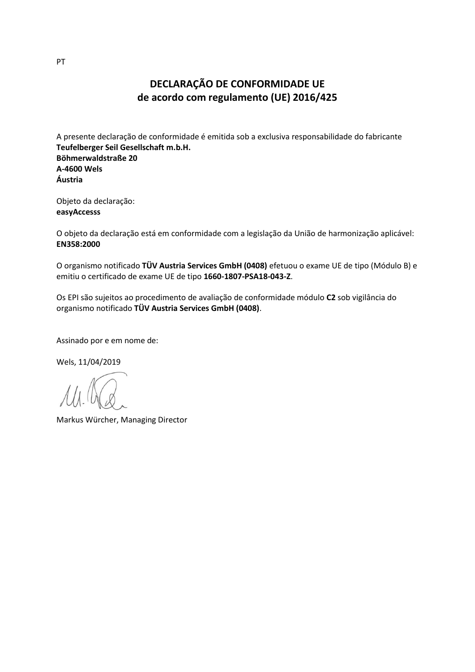# **DECLARAÇÃO DE CONFORMIDADE UE de acordo com regulamento (UE) 2016/425**

A presente declaração de conformidade é emitida sob a exclusiva responsabilidade do fabricante **Teufelberger Seil Gesellschaft m.b.H. Böhmerwaldstraße 20 A-4600 Wels Áustria**

Objeto da declaração: **easyAccesss**

O objeto da declaração está em conformidade com a legislação da União de harmonização aplicável: **EN358:2000**

O organismo notificado **TÜV Austria Services GmbH (0408)** efetuou o exame UE de tipo (Módulo B) e emitiu o certificado de exame UE de tipo **1660-1807-PSA18-043-Z**.

Os EPI são sujeitos ao procedimento de avaliação de conformidade módulo **C2** sob vigilância do organismo notificado **TÜV Austria Services GmbH (0408)**.

Assinado por e em nome de:

Wels, 11/04/2019

Markus Würcher, Managing Director

PT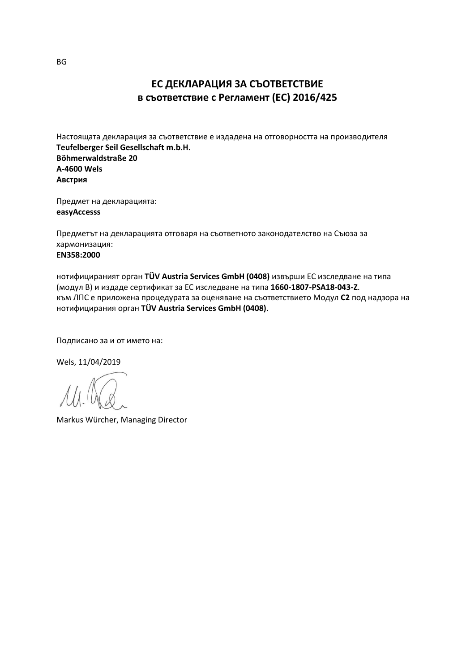## **ЕС ДЕКЛАРАЦИЯ ЗА СЪОТВЕТСТВИЕ в съответствие с Регламент (ЕС) 2016/425**

Настоящата декларация за съответствие е издадена на отговорността на производителя **Teufelberger Seil Gesellschaft m.b.H. Böhmerwaldstraße 20 A-4600 Wels Австрия**

Предмет на декларацията: **easyAccesss**

Предметът на декларацията отговаря на съответното законодателство на Съюза за хармонизация: **EN358:2000**

нотифицираният орган **TÜV Austria Services GmbH (0408)** извърши ЕС изследване на типа (модул B) и издаде сертификат за ЕС изследване на типа **1660-1807-PSA18-043-Z**. към ЛПС е приложена процедурата за оценяване на съответствието Модул **C2** под надзора на нотифицирания орган **TÜV Austria Services GmbH (0408)**.

Подписано за и от името на:

Wels, 11/04/2019

Markus Würcher, Managing Director

BG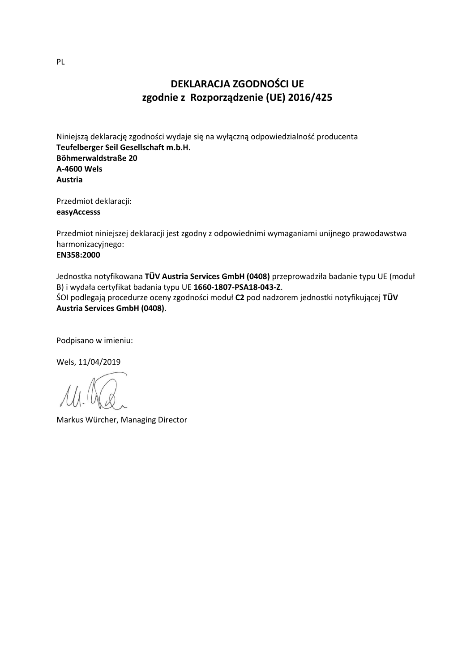# **DEKLARACJA ZGODNOŚCI UE zgodnie z Rozporządzenie (UE) 2016/425**

Niniejszą deklarację zgodności wydaje się na wyłączną odpowiedzialność producenta **Teufelberger Seil Gesellschaft m.b.H. Böhmerwaldstraße 20 A-4600 Wels Austria**

Przedmiot deklaracji: **easyAccesss**

Przedmiot niniejszej deklaracji jest zgodny z odpowiednimi wymaganiami unijnego prawodawstwa harmonizacyjnego:

#### **EN358:2000**

Jednostka notyfikowana **TÜV Austria Services GmbH (0408)** przeprowadziła badanie typu UE (moduł B) i wydała certyfikat badania typu UE **1660-1807-PSA18-043-Z**.

ŚOI podlegają procedurze oceny zgodności moduł **C2** pod nadzorem jednostki notyfikującej **TÜV Austria Services GmbH (0408)**.

Podpisano w imieniu:

Wels, 11/04/2019

Markus Würcher, Managing Director

PL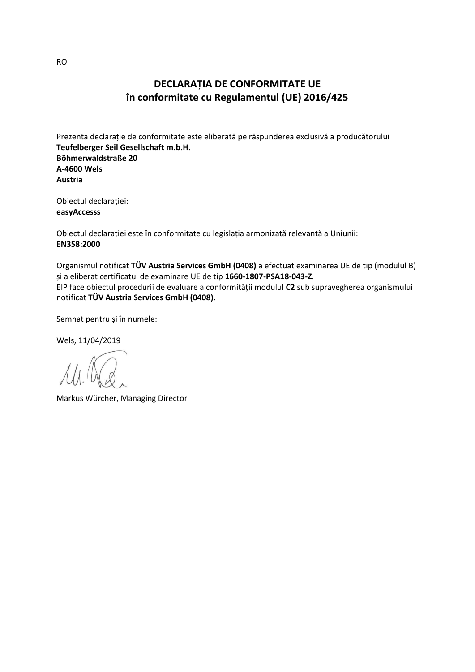## **DECLARAȚIA DE CONFORMITATE UE în conformitate cu Regulamentul (UE) 2016/425**

Prezenta declarație de conformitate este eliberată pe răspunderea exclusivă a producătorului **Teufelberger Seil Gesellschaft m.b.H. Böhmerwaldstraße 20 A-4600 Wels Austria**

Obiectul declarației: **easyAccesss**

Obiectul declarației este în conformitate cu legislația armonizată relevantă a Uniunii: **EN358:2000**

Organismul notificat **TÜV Austria Services GmbH (0408)** a efectuat examinarea UE de tip (modulul B) și a eliberat certificatul de examinare UE de tip **1660-1807-PSA18-043-Z**. EIP face obiectul procedurii de evaluare a conformității modulul **C2** sub supravegherea organismului notificat **TÜV Austria Services GmbH (0408).**

Semnat pentru și în numele:

Wels, 11/04/2019

Markus Würcher, Managing Director

RO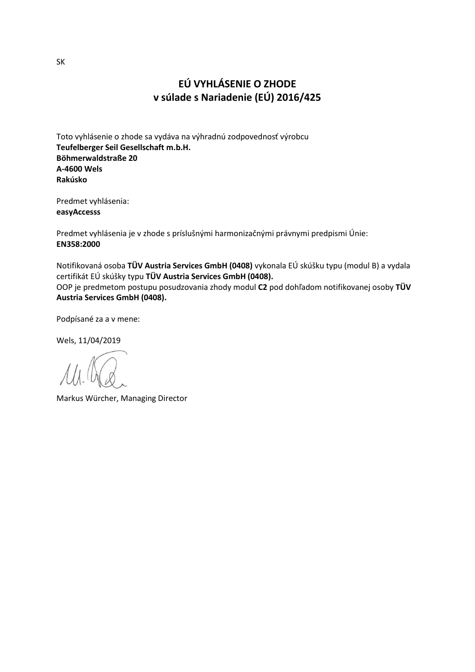# **EÚ VYHLÁSENIE O ZHODE v súlade s Nariadenie (EÚ) 2016/425**

Toto vyhlásenie o zhode sa vydáva na výhradnú zodpovednosť výrobcu **Teufelberger Seil Gesellschaft m.b.H. Böhmerwaldstraße 20 A-4600 Wels Rakúsko**

Predmet vyhlásenia: **easyAccesss**

Predmet vyhlásenia je v zhode s príslušnými harmonizačnými právnymi predpismi Únie: **EN358:2000**

Notifikovaná osoba **TÜV Austria Services GmbH (0408)** vykonala EÚ skúšku typu (modul B) a vydala certifikát EÚ skúšky typu **TÜV Austria Services GmbH (0408).** OOP je predmetom postupu posudzovania zhody modul **C2** pod dohľadom notifikovanej osoby **TÜV Austria Services GmbH (0408).**

Podpísané za a v mene:

Markus Würcher, Managing Director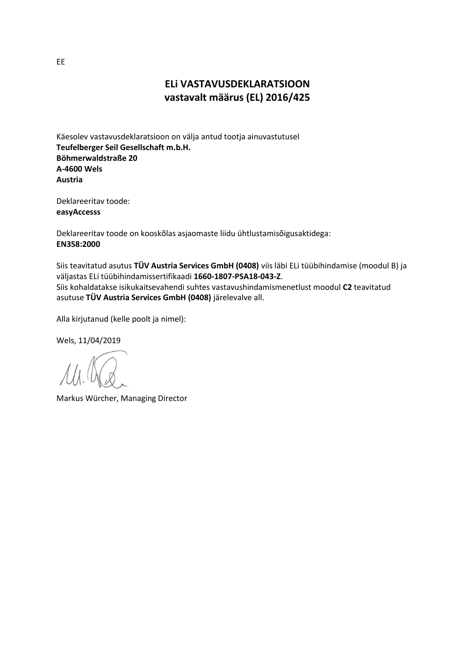#### **ELi VASTAVUSDEKLARATSIOON vastavalt määrus (EL) 2016/425**

Käesolev vastavusdeklaratsioon on välja antud tootja ainuvastutusel **Teufelberger Seil Gesellschaft m.b.H. Böhmerwaldstraße 20 A-4600 Wels Austria**

Deklareeritav toode: **easyAccesss**

Deklareeritav toode on kooskõlas asjaomaste liidu ühtlustamisõigusaktidega: **EN358:2000**

Siis teavitatud asutus **TÜV Austria Services GmbH (0408)** viis läbi ELi tüübihindamise (moodul B) ja väljastas ELi tüübihindamissertifikaadi **1660-1807-PSA18-043-Z**. Siis kohaldatakse isikukaitsevahendi suhtes vastavushindamismenetlust moodul **C2** teavitatud asutuse **TÜV Austria Services GmbH (0408)** järelevalve all.

Alla kirjutanud (kelle poolt ja nimel):

Wels, 11/04/2019

Markus Würcher, Managing Director

EE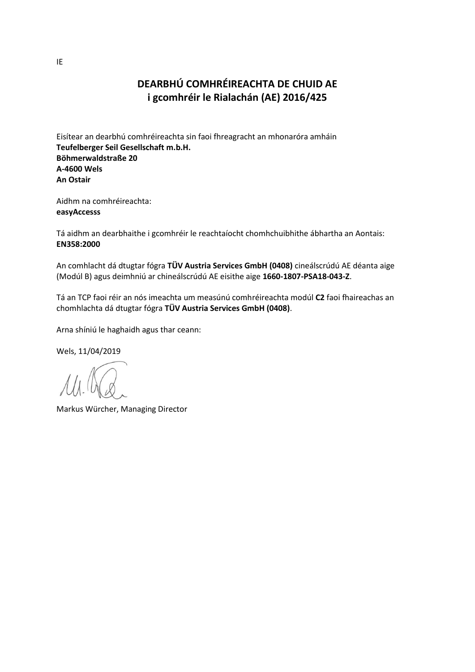# **DEARBHÚ COMHRÉIREACHTA DE CHUID AE i gcomhréir le Rialachán (AE) 2016/425**

Eisítear an dearbhú comhréireachta sin faoi fhreagracht an mhonaróra amháin **Teufelberger Seil Gesellschaft m.b.H. Böhmerwaldstraße 20 A-4600 Wels An Ostair**

Aidhm na comhréireachta: **easyAccesss**

Tá aidhm an dearbhaithe i gcomhréir le reachtaíocht chomhchuibhithe ábhartha an Aontais: **EN358:2000**

An comhlacht dá dtugtar fógra **TÜV Austria Services GmbH (0408)** cineálscrúdú AE déanta aige (Modúl B) agus deimhniú ar chineálscrúdú AE eisithe aige **1660-1807-PSA18-043-Z**.

Tá an TCP faoi réir an nós imeachta um measúnú comhréireachta modúl **C2** faoi fhaireachas an chomhlachta dá dtugtar fógra **TÜV Austria Services GmbH (0408)**.

Arna shíniú le haghaidh agus thar ceann:

Markus Würcher, Managing Director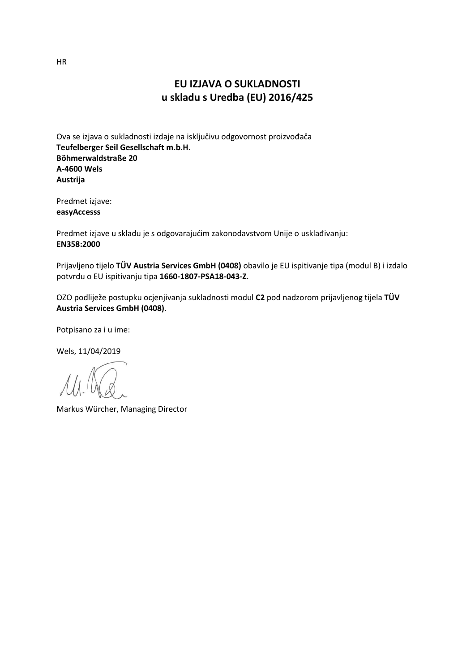#### **EU IZJAVA O SUKLADNOSTI u skladu s Uredba (EU) 2016/425**

Ova se izjava o sukladnosti izdaje na isključivu odgovornost proizvođača **Teufelberger Seil Gesellschaft m.b.H. Böhmerwaldstraße 20 A-4600 Wels Austrija**

Predmet izjave: **easyAccesss**

Predmet izjave u skladu je s odgovarajućim zakonodavstvom Unije o usklađivanju: **EN358:2000**

Prijavljeno tijelo **TÜV Austria Services GmbH (0408)** obavilo je EU ispitivanje tipa (modul B) i izdalo potvrdu o EU ispitivanju tipa **1660-1807-PSA18-043-Z**.

OZO podliježe postupku ocjenjivanja sukladnosti modul **C2** pod nadzorom prijavljenog tijela **TÜV Austria Services GmbH (0408)**.

Potpisano za i u ime:

Wels, 11/04/2019

Markus Würcher, Managing Director

HR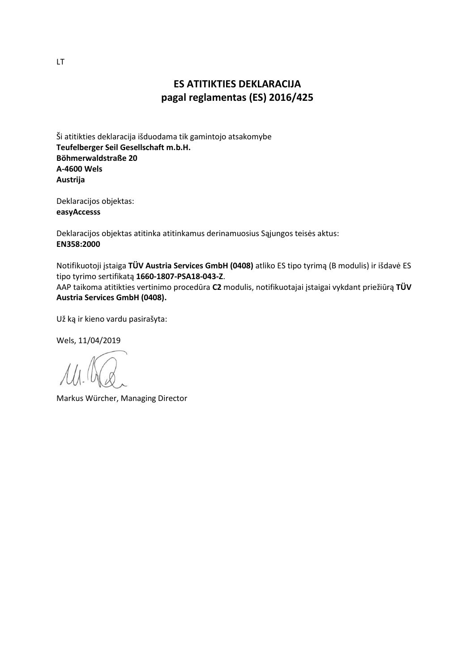## **ES ATITIKTIES DEKLARACIJA pagal reglamentas (ES) 2016/425**

Ši atitikties deklaracija išduodama tik gamintojo atsakomybe **Teufelberger Seil Gesellschaft m.b.H. Böhmerwaldstraße 20 A-4600 Wels Austrija**

Deklaracijos objektas: **easyAccesss**

Deklaracijos objektas atitinka atitinkamus derinamuosius Sąjungos teisės aktus: **EN358:2000**

Notifikuotoji įstaiga **TÜV Austria Services GmbH (0408)** atliko ES tipo tyrimą (B modulis) ir išdavė ES tipo tyrimo sertifikatą **1660-1807-PSA18-043-Z**.

AAP taikoma atitikties vertinimo procedūra **C2** modulis, notifikuotajai įstaigai vykdant priežiūrą **TÜV Austria Services GmbH (0408).**

Už ką ir kieno vardu pasirašyta:

Wels, 11/04/2019

Markus Würcher, Managing Director

LT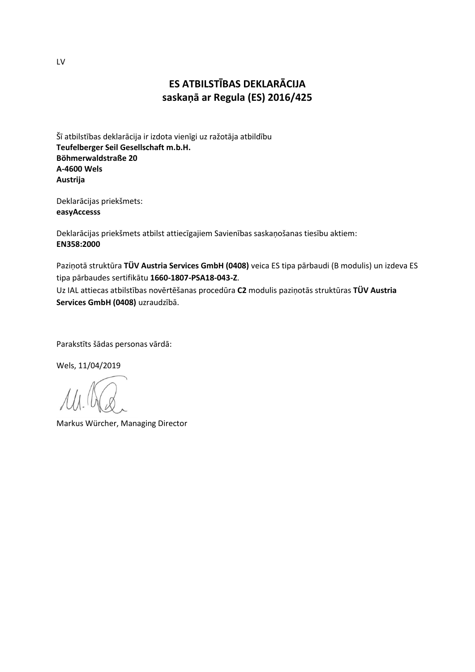# **ES ATBILSTĪBAS DEKLARĀCIJA saskaņā ar Regula (ES) 2016/425**

Šī atbilstības deklarācija ir izdota vienīgi uz ražotāja atbildību **Teufelberger Seil Gesellschaft m.b.H. Böhmerwaldstraße 20 A-4600 Wels Austrija**

Deklarācijas priekšmets: **easyAccesss**

Deklarācijas priekšmets atbilst attiecīgajiem Savienības saskaņošanas tiesību aktiem: **EN358:2000**

Paziņotā struktūra **TÜV Austria Services GmbH (0408)** veica ES tipa pārbaudi (B modulis) un izdeva ES tipa pārbaudes sertifikātu **1660-1807-PSA18-043-Z**.

Uz IAL attiecas atbilstības novērtēšanas procedūra **C2** modulis paziņotās struktūras **TÜV Austria Services GmbH (0408)** uzraudzībā.

Parakstīts šādas personas vārdā:

Wels, 11/04/2019

Markus Würcher, Managing Director

LV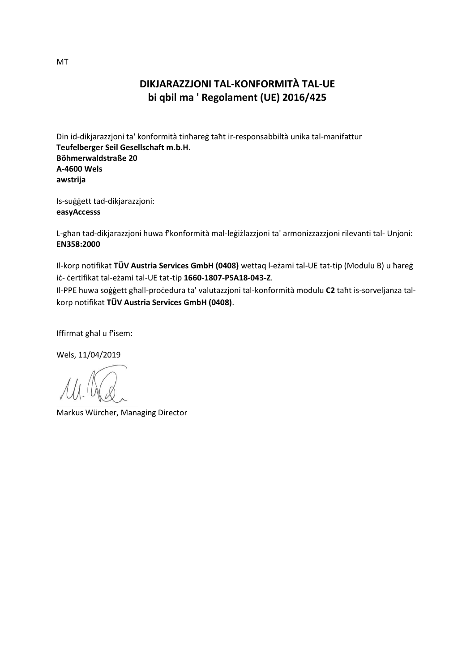#### **DIKJARAZZJONI TAL-KONFORMITÀ TAL-UE bi qbil ma ' Regolament (UE) 2016/425**

Din id-dikjarazzjoni ta' konformità tinħareġ taħt ir-responsabbiltà unika tal-manifattur **Teufelberger Seil Gesellschaft m.b.H. Böhmerwaldstraße 20 A-4600 Wels awstrija**

Is-suġġett tad-dikjarazzjoni: **easyAccesss**

L-għan tad-dikjarazzjoni huwa f'konformità mal-leġiżlazzjoni ta' armonizzazzjoni rilevanti tal- Unjoni: **EN358:2000**

Il-korp notifikat **TÜV Austria Services GmbH (0408)** wettaq l-eżami tal-UE tat-tip (Modulu B) u ħareġ iċ- ċertifikat tal-eżami tal-UE tat-tip **1660-1807-PSA18-043-Z**.

Il-PPE huwa soġġett għall-proċedura ta' valutazzjoni tal-konformità modulu **C2** taħt is-sorveljanza talkorp notifikat **TÜV Austria Services GmbH (0408)**.

Iffirmat għal u f'isem:

Markus Würcher, Managing Director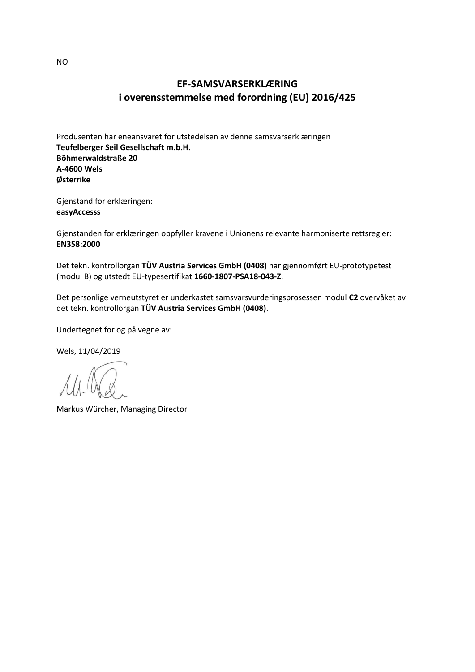## **EF-SAMSVARSERKLÆRING i overensstemmelse med forordning (EU) 2016/425**

Produsenten har eneansvaret for utstedelsen av denne samsvarserklæringen **Teufelberger Seil Gesellschaft m.b.H. Böhmerwaldstraße 20 A-4600 Wels Østerrike**

Gjenstand for erklæringen: **easyAccesss**

Gjenstanden for erklæringen oppfyller kravene i Unionens relevante harmoniserte rettsregler: **EN358:2000**

Det tekn. kontrollorgan **TÜV Austria Services GmbH (0408)** har gjennomført EU-prototypetest (modul B) og utstedt EU-typesertifikat **1660-1807-PSA18-043-Z**.

Det personlige verneutstyret er underkastet samsvarsvurderingsprosessen modul **C2** overvåket av det tekn. kontrollorgan **TÜV Austria Services GmbH (0408)**.

Undertegnet for og på vegne av:

Wels, 11/04/2019

Markus Würcher, Managing Director

NO